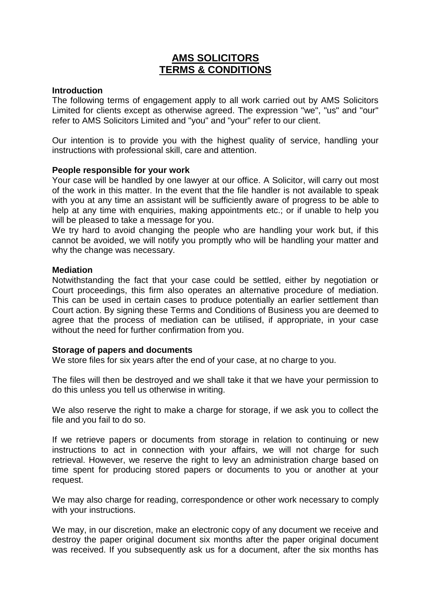# **AMS SOLICITORS TERMS & CONDITIONS**

## **Introduction**

The following terms of engagement apply to all work carried out by AMS Solicitors Limited for clients except as otherwise agreed. The expression "we", "us" and "our" refer to AMS Solicitors Limited and "you" and "your" refer to our client.

Our intention is to provide you with the highest quality of service, handling your instructions with professional skill, care and attention.

## **People responsible for your work**

Your case will be handled by one lawyer at our office. A Solicitor, will carry out most of the work in this matter. In the event that the file handler is not available to speak with you at any time an assistant will be sufficiently aware of progress to be able to help at any time with enquiries, making appointments etc.; or if unable to help you will be pleased to take a message for you.

We try hard to avoid changing the people who are handling your work but, if this cannot be avoided, we will notify you promptly who will be handling your matter and why the change was necessary.

## **Mediation**

Notwithstanding the fact that your case could be settled, either by negotiation or Court proceedings, this firm also operates an alternative procedure of mediation. This can be used in certain cases to produce potentially an earlier settlement than Court action. By signing these Terms and Conditions of Business you are deemed to agree that the process of mediation can be utilised, if appropriate, in your case without the need for further confirmation from you.

## **Storage of papers and documents**

We store files for six years after the end of your case, at no charge to you.

The files will then be destroyed and we shall take it that we have your permission to do this unless you tell us otherwise in writing.

We also reserve the right to make a charge for storage, if we ask you to collect the file and you fail to do so.

If we retrieve papers or documents from storage in relation to continuing or new instructions to act in connection with your affairs, we will not charge for such retrieval. However, we reserve the right to levy an administration charge based on time spent for producing stored papers or documents to you or another at your request.

We may also charge for reading, correspondence or other work necessary to comply with your instructions.

We may, in our discretion, make an electronic copy of any document we receive and destroy the paper original document six months after the paper original document was received. If you subsequently ask us for a document, after the six months has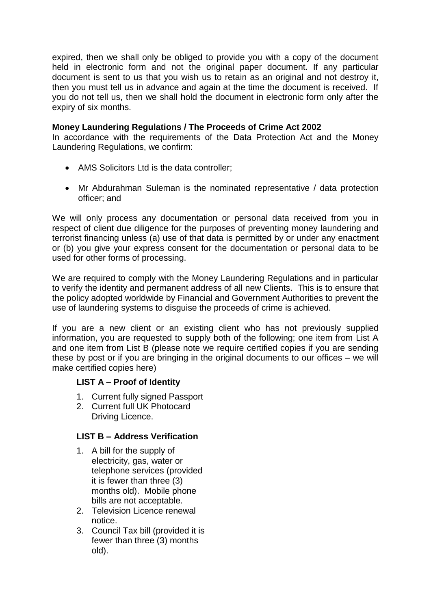expired, then we shall only be obliged to provide you with a copy of the document held in electronic form and not the original paper document. If any particular document is sent to us that you wish us to retain as an original and not destroy it, then you must tell us in advance and again at the time the document is received. If you do not tell us, then we shall hold the document in electronic form only after the expiry of six months.

# **Money Laundering Regulations / The Proceeds of Crime Act 2002**

In accordance with the requirements of the Data Protection Act and the Money Laundering Regulations, we confirm:

- AMS Solicitors Ltd is the data controller;
- Mr Abdurahman Suleman is the nominated representative / data protection officer; and

We will only process any documentation or personal data received from you in respect of client due diligence for the purposes of preventing money laundering and terrorist financing unless (a) use of that data is permitted by or under any enactment or (b) you give your express consent for the documentation or personal data to be used for other forms of processing.

We are required to comply with the Money Laundering Regulations and in particular to verify the identity and permanent address of all new Clients. This is to ensure that the policy adopted worldwide by Financial and Government Authorities to prevent the use of laundering systems to disguise the proceeds of crime is achieved.

If you are a new client or an existing client who has not previously supplied information, you are requested to supply both of the following; one item from List A and one item from List B (please note we require certified copies if you are sending these by post or if you are bringing in the original documents to our offices – we will make certified copies here)

# **LIST A – Proof of Identity**

- 1. Current fully signed Passport
- 2. Current full UK Photocard Driving Licence.

# **LIST B – Address Verification**

- 1. A bill for the supply of electricity, gas, water or telephone services (provided it is fewer than three (3) months old). Mobile phone bills are not acceptable.
- 2. Television Licence renewal notice.
- 3. Council Tax bill (provided it is fewer than three (3) months old).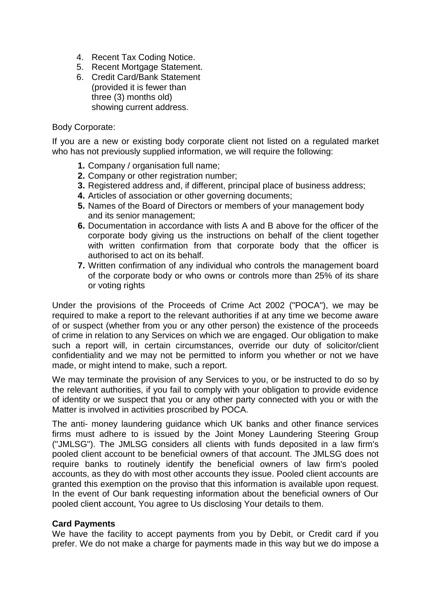- 4. Recent Tax Coding Notice.
- 5. Recent Mortgage Statement.
- 6. Credit Card/Bank Statement (provided it is fewer than three (3) months old) showing current address.

## Body Corporate:

If you are a new or existing body corporate client not listed on a regulated market who has not previously supplied information, we will require the following:

- **1.** Company / organisation full name;
- **2.** Company or other registration number;
- **3.** Registered address and, if different, principal place of business address;
- **4.** Articles of association or other governing documents;
- **5.** Names of the Board of Directors or members of your management body and its senior management;
- **6.** Documentation in accordance with lists A and B above for the officer of the corporate body giving us the instructions on behalf of the client together with written confirmation from that corporate body that the officer is authorised to act on its behalf.
- **7.** Written confirmation of any individual who controls the management board of the corporate body or who owns or controls more than 25% of its share or voting rights

Under the provisions of the Proceeds of Crime Act 2002 ("POCA"), we may be required to make a report to the relevant authorities if at any time we become aware of or suspect (whether from you or any other person) the existence of the proceeds of crime in relation to any Services on which we are engaged. Our obligation to make such a report will, in certain circumstances, override our duty of solicitor/client confidentiality and we may not be permitted to inform you whether or not we have made, or might intend to make, such a report.

We may terminate the provision of any Services to you, or be instructed to do so by the relevant authorities, if you fail to comply with your obligation to provide evidence of identity or we suspect that you or any other party connected with you or with the Matter is involved in activities proscribed by POCA.

The anti- money laundering guidance which UK banks and other finance services firms must adhere to is issued by the Joint Money Laundering Steering Group ("JMLSG"). The JMLSG considers all clients with funds deposited in a law firm's pooled client account to be beneficial owners of that account. The JMLSG does not require banks to routinely identify the beneficial owners of law firm's pooled accounts, as they do with most other accounts they issue. Pooled client accounts are granted this exemption on the proviso that this information is available upon request. In the event of Our bank requesting information about the beneficial owners of Our pooled client account, You agree to Us disclosing Your details to them.

## **Card Payments**

We have the facility to accept payments from you by Debit, or Credit card if you prefer. We do not make a charge for payments made in this way but we do impose a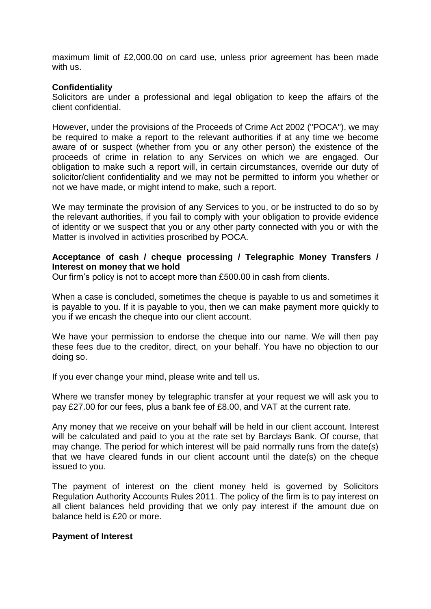maximum limit of £2,000.00 on card use, unless prior agreement has been made with us.

## **Confidentiality**

Solicitors are under a professional and legal obligation to keep the affairs of the client confidential.

However, under the provisions of the Proceeds of Crime Act 2002 ("POCA"), we may be required to make a report to the relevant authorities if at any time we become aware of or suspect (whether from you or any other person) the existence of the proceeds of crime in relation to any Services on which we are engaged. Our obligation to make such a report will, in certain circumstances, override our duty of solicitor/client confidentiality and we may not be permitted to inform you whether or not we have made, or might intend to make, such a report.

We may terminate the provision of any Services to you, or be instructed to do so by the relevant authorities, if you fail to comply with your obligation to provide evidence of identity or we suspect that you or any other party connected with you or with the Matter is involved in activities proscribed by POCA.

## **Acceptance of cash / cheque processing / Telegraphic Money Transfers / Interest on money that we hold**

Our firm's policy is not to accept more than £500.00 in cash from clients.

When a case is concluded, sometimes the cheque is payable to us and sometimes it is payable to you. If it is payable to you, then we can make payment more quickly to you if we encash the cheque into our client account.

We have your permission to endorse the cheque into our name. We will then pay these fees due to the creditor, direct, on your behalf. You have no objection to our doing so.

If you ever change your mind, please write and tell us.

Where we transfer money by telegraphic transfer at your request we will ask you to pay £27.00 for our fees, plus a bank fee of £8.00, and VAT at the current rate.

Any money that we receive on your behalf will be held in our client account. Interest will be calculated and paid to you at the rate set by Barclays Bank. Of course, that may change. The period for which interest will be paid normally runs from the date(s) that we have cleared funds in our client account until the date(s) on the cheque issued to you.

The payment of interest on the client money held is governed by Solicitors Regulation Authority Accounts Rules 2011. The policy of the firm is to pay interest on all client balances held providing that we only pay interest if the amount due on balance held is £20 or more.

## **Payment of Interest**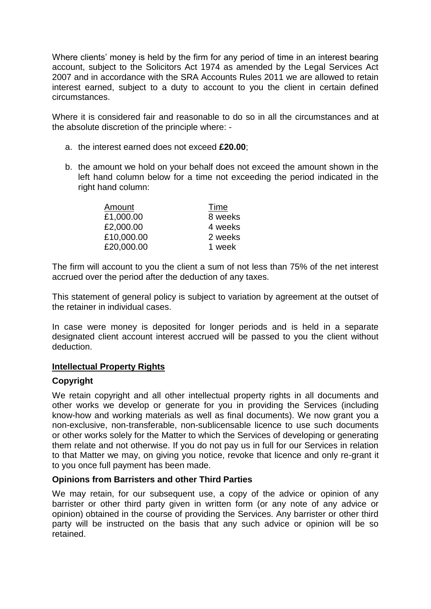Where clients' money is held by the firm for any period of time in an interest bearing account, subject to the Solicitors Act 1974 as amended by the Legal Services Act 2007 and in accordance with the SRA Accounts Rules 2011 we are allowed to retain interest earned, subject to a duty to account to you the client in certain defined circumstances.

Where it is considered fair and reasonable to do so in all the circumstances and at the absolute discretion of the principle where: -

- a. the interest earned does not exceed **£20.00**;
- b. the amount we hold on your behalf does not exceed the amount shown in the left hand column below for a time not exceeding the period indicated in the right hand column:

| Amount     | Time    |
|------------|---------|
| £1,000.00  | 8 weeks |
| £2,000.00  | 4 weeks |
| £10,000.00 | 2 weeks |
| £20,000.00 | 1 week  |

The firm will account to you the client a sum of not less than 75% of the net interest accrued over the period after the deduction of any taxes.

This statement of general policy is subject to variation by agreement at the outset of the retainer in individual cases.

In case were money is deposited for longer periods and is held in a separate designated client account interest accrued will be passed to you the client without deduction.

# **Intellectual Property Rights**

# **Copyright**

We retain copyright and all other intellectual property rights in all documents and other works we develop or generate for you in providing the Services (including know-how and working materials as well as final documents). We now grant you a non-exclusive, non-transferable, non-sublicensable licence to use such documents or other works solely for the Matter to which the Services of developing or generating them relate and not otherwise. If you do not pay us in full for our Services in relation to that Matter we may, on giving you notice, revoke that licence and only re-grant it to you once full payment has been made.

# **Opinions from Barristers and other Third Parties**

We may retain, for our subsequent use, a copy of the advice or opinion of any barrister or other third party given in written form (or any note of any advice or opinion) obtained in the course of providing the Services. Any barrister or other third party will be instructed on the basis that any such advice or opinion will be so retained.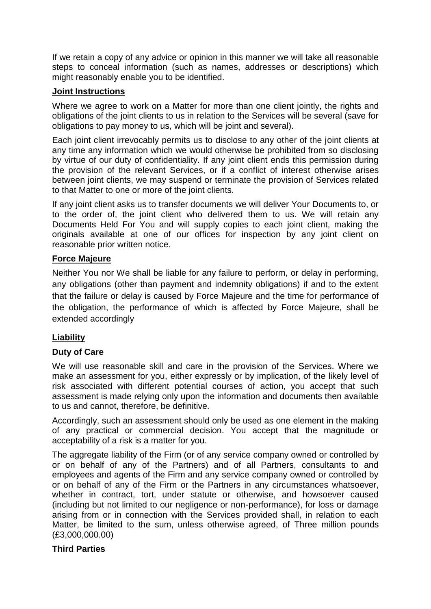If we retain a copy of any advice or opinion in this manner we will take all reasonable steps to conceal information (such as names, addresses or descriptions) which might reasonably enable you to be identified.

# **Joint Instructions**

Where we agree to work on a Matter for more than one client jointly, the rights and obligations of the joint clients to us in relation to the Services will be several (save for obligations to pay money to us, which will be joint and several).

Each joint client irrevocably permits us to disclose to any other of the joint clients at any time any information which we would otherwise be prohibited from so disclosing by virtue of our duty of confidentiality. If any joint client ends this permission during the provision of the relevant Services, or if a conflict of interest otherwise arises between joint clients, we may suspend or terminate the provision of Services related to that Matter to one or more of the joint clients.

If any joint client asks us to transfer documents we will deliver Your Documents to, or to the order of, the joint client who delivered them to us. We will retain any Documents Held For You and will supply copies to each joint client, making the originals available at one of our offices for inspection by any joint client on reasonable prior written notice.

# **Force Majeure**

Neither You nor We shall be liable for any failure to perform, or delay in performing, any obligations (other than payment and indemnity obligations) if and to the extent that the failure or delay is caused by Force Majeure and the time for performance of the obligation, the performance of which is affected by Force Majeure, shall be extended accordingly

# **Liability**

# **Duty of Care**

We will use reasonable skill and care in the provision of the Services. Where we make an assessment for you, either expressly or by implication, of the likely level of risk associated with different potential courses of action, you accept that such assessment is made relying only upon the information and documents then available to us and cannot, therefore, be definitive.

Accordingly, such an assessment should only be used as one element in the making of any practical or commercial decision. You accept that the magnitude or acceptability of a risk is a matter for you.

The aggregate liability of the Firm (or of any service company owned or controlled by or on behalf of any of the Partners) and of all Partners, consultants to and employees and agents of the Firm and any service company owned or controlled by or on behalf of any of the Firm or the Partners in any circumstances whatsoever, whether in contract, tort, under statute or otherwise, and howsoever caused (including but not limited to our negligence or non-performance), for loss or damage arising from or in connection with the Services provided shall, in relation to each Matter, be limited to the sum, unless otherwise agreed, of Three million pounds (£3,000,000.00)

# **Third Parties**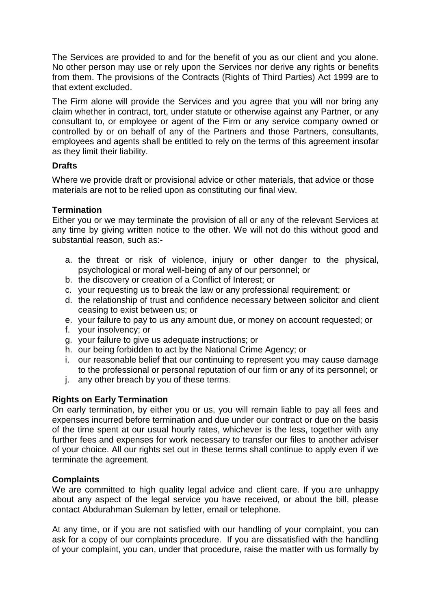The Services are provided to and for the benefit of you as our client and you alone. No other person may use or rely upon the Services nor derive any rights or benefits from them. The provisions of the Contracts (Rights of Third Parties) Act 1999 are to that extent excluded.

The Firm alone will provide the Services and you agree that you will nor bring any claim whether in contract, tort, under statute or otherwise against any Partner, or any consultant to, or employee or agent of the Firm or any service company owned or controlled by or on behalf of any of the Partners and those Partners, consultants, employees and agents shall be entitled to rely on the terms of this agreement insofar as they limit their liability.

# **Drafts**

Where we provide draft or provisional advice or other materials, that advice or those materials are not to be relied upon as constituting our final view.

# **Termination**

Either you or we may terminate the provision of all or any of the relevant Services at any time by giving written notice to the other. We will not do this without good and substantial reason, such as:-

- a. the threat or risk of violence, injury or other danger to the physical, psychological or moral well-being of any of our personnel; or
- b. the discovery or creation of a Conflict of Interest; or
- c. your requesting us to break the law or any professional requirement; or
- d. the relationship of trust and confidence necessary between solicitor and client ceasing to exist between us; or
- e. your failure to pay to us any amount due, or money on account requested; or
- f. your insolvency; or
- g. your failure to give us adequate instructions; or
- h. our being forbidden to act by the National Crime Agency; or
- i. our reasonable belief that our continuing to represent you may cause damage to the professional or personal reputation of our firm or any of its personnel; or
- j. any other breach by you of these terms.

# **Rights on Early Termination**

On early termination, by either you or us, you will remain liable to pay all fees and expenses incurred before termination and due under our contract or due on the basis of the time spent at our usual hourly rates, whichever is the less, together with any further fees and expenses for work necessary to transfer our files to another adviser of your choice. All our rights set out in these terms shall continue to apply even if we terminate the agreement.

# **Complaints**

We are committed to high quality legal advice and client care. If you are unhappy about any aspect of the legal service you have received, or about the bill, please contact Abdurahman Suleman by letter, email or telephone.

At any time, or if you are not satisfied with our handling of your complaint, you can ask for a copy of our complaints procedure. If you are dissatisfied with the handling of your complaint, you can, under that procedure, raise the matter with us formally by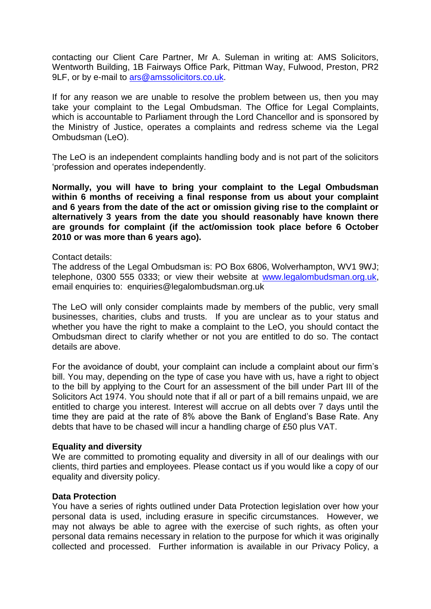contacting our Client Care Partner, Mr A. Suleman in writing at: AMS Solicitors, Wentworth Building, 1B Fairways Office Park, Pittman Way, Fulwood, Preston, PR2 9LF, or by e-mail to [ars@amssolicitors.co.uk.](mailto:ars@amssolicitors.co.uk)

If for any reason we are unable to resolve the problem between us, then you may take your complaint to the Legal Ombudsman. The Office for Legal Complaints, which is accountable to Parliament through the Lord Chancellor and is sponsored by the Ministry of Justice, operates a complaints and redress scheme via the Legal Ombudsman (LeO).

The LeO is an independent complaints handling body and is not part of the solicitors 'profession and operates independently.

**Normally, you will have to bring your complaint to the Legal Ombudsman within 6 months of receiving a final response from us about your complaint and 6 years from the date of the act or omission giving rise to the complaint or alternatively 3 years from the date you should reasonably have known there are grounds for complaint (if the act/omission took place before 6 October 2010 or was more than 6 years ago).**

## Contact details:

The address of the Legal Ombudsman is: PO Box 6806, Wolverhampton, WV1 9WJ; telephone, 0300 555 0333; or view their website at [www.legalombudsman.org.uk,](http://www.legalombudsman.org.uk/) email enquiries to: enquiries@legalombudsman.org.uk

The LeO will only consider complaints made by members of the public, very small businesses, charities, clubs and trusts. If you are unclear as to your status and whether you have the right to make a complaint to the LeO, you should contact the Ombudsman direct to clarify whether or not you are entitled to do so. The contact details are above.

For the avoidance of doubt, your complaint can include a complaint about our firm's bill. You may, depending on the type of case you have with us, have a right to object to the bill by applying to the Court for an assessment of the bill under Part III of the Solicitors Act 1974. You should note that if all or part of a bill remains unpaid, we are entitled to charge you interest. Interest will accrue on all debts over 7 days until the time they are paid at the rate of 8% above the Bank of England's Base Rate. Any debts that have to be chased will incur a handling charge of £50 plus VAT.

## **Equality and diversity**

We are committed to promoting equality and diversity in all of our dealings with our clients, third parties and employees. Please contact us if you would like a copy of our equality and diversity policy.

## **Data Protection**

You have a series of rights outlined under Data Protection legislation over how your personal data is used, including erasure in specific circumstances. However, we may not always be able to agree with the exercise of such rights, as often your personal data remains necessary in relation to the purpose for which it was originally collected and processed. Further information is available in our Privacy Policy, a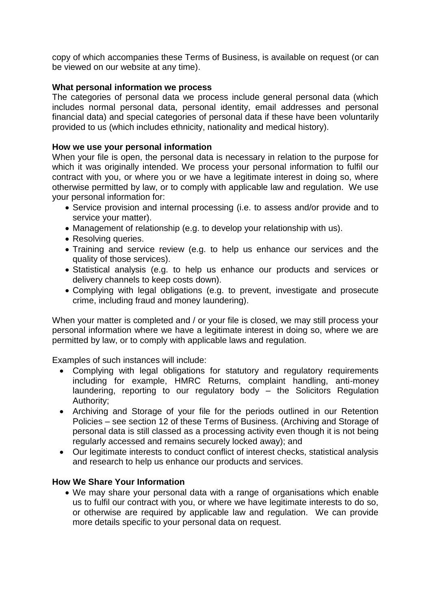copy of which accompanies these Terms of Business, is available on request (or can be viewed on our website at any time).

# **What personal information we process**

The categories of personal data we process include general personal data (which includes normal personal data, personal identity, email addresses and personal financial data) and special categories of personal data if these have been voluntarily provided to us (which includes ethnicity, nationality and medical history).

# **How we use your personal information**

When your file is open, the personal data is necessary in relation to the purpose for which it was originally intended. We process your personal information to fulfil our contract with you, or where you or we have a legitimate interest in doing so, where otherwise permitted by law, or to comply with applicable law and regulation. We use your personal information for:

- Service provision and internal processing (i.e. to assess and/or provide and to service your matter).
- Management of relationship (e.g. to develop your relationship with us).
- Resolving queries.
- Training and service review (e.g. to help us enhance our services and the quality of those services).
- Statistical analysis (e.g. to help us enhance our products and services or delivery channels to keep costs down).
- Complying with legal obligations (e.g. to prevent, investigate and prosecute crime, including fraud and money laundering).

When your matter is completed and / or your file is closed, we may still process your personal information where we have a legitimate interest in doing so, where we are permitted by law, or to comply with applicable laws and regulation.

Examples of such instances will include:

- Complying with legal obligations for statutory and regulatory requirements including for example, HMRC Returns, complaint handling, anti-money laundering, reporting to our regulatory body – the Solicitors Regulation Authority;
- Archiving and Storage of your file for the periods outlined in our Retention Policies – see section 12 of these Terms of Business. (Archiving and Storage of personal data is still classed as a processing activity even though it is not being regularly accessed and remains securely locked away); and
- Our legitimate interests to conduct conflict of interest checks, statistical analysis and research to help us enhance our products and services.

# **How We Share Your Information**

• We may share your personal data with a range of organisations which enable us to fulfil our contract with you, or where we have legitimate interests to do so, or otherwise are required by applicable law and regulation. We can provide more details specific to your personal data on request.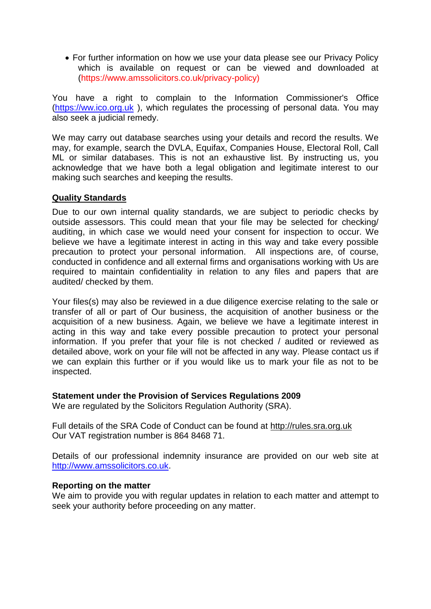• For further information on how we use your data please see our Privacy Policy which is available on request or can be viewed and downloaded at (https://www.amssolicitors.co.uk/privacy-policy)

You have a right to complain to the Information Commissioner's Office [\(https://ww.ico.org.uk](https://ww.ico.org.uk/) ), which regulates the processing of personal data. You may also seek a judicial remedy.

We may carry out database searches using your details and record the results. We may, for example, search the DVLA, Equifax, Companies House, Electoral Roll, Call ML or similar databases. This is not an exhaustive list. By instructing us, you acknowledge that we have both a legal obligation and legitimate interest to our making such searches and keeping the results.

# **Quality Standards**

Due to our own internal quality standards, we are subject to periodic checks by outside assessors. This could mean that your file may be selected for checking/ auditing, in which case we would need your consent for inspection to occur. We believe we have a legitimate interest in acting in this way and take every possible precaution to protect your personal information. All inspections are, of course, conducted in confidence and all external firms and organisations working with Us are required to maintain confidentiality in relation to any files and papers that are audited/ checked by them.

Your files(s) may also be reviewed in a due diligence exercise relating to the sale or transfer of all or part of Our business, the acquisition of another business or the acquisition of a new business. Again, we believe we have a legitimate interest in acting in this way and take every possible precaution to protect your personal information. If you prefer that your file is not checked / audited or reviewed as detailed above, work on your file will not be affected in any way. Please contact us if we can explain this further or if you would like us to mark your file as not to be inspected.

## **Statement under the Provision of Services Regulations 2009**

We are regulated by the Solicitors Regulation Authority (SRA).

Full details of the SRA Code of Conduct can be found at [http://rules.sra.org.uk](http://rules.sra.org.uk/) Our VAT registration number is 864 8468 71.

Details of our professional indemnity insurance are provided on our web site at [http://www.amssolicitors.co.uk.](http://www.amssolicitors.co.uk/)

## **Reporting on the matter**

We aim to provide you with regular updates in relation to each matter and attempt to seek your authority before proceeding on any matter.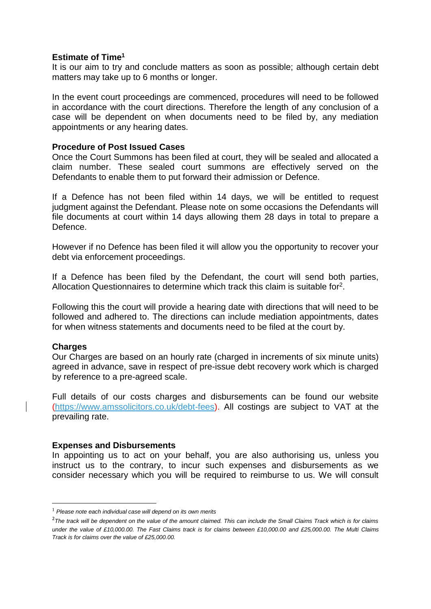## **Estimate of Time<sup>1</sup>**

It is our aim to try and conclude matters as soon as possible; although certain debt matters may take up to 6 months or longer.

In the event court proceedings are commenced, procedures will need to be followed in accordance with the court directions. Therefore the length of any conclusion of a case will be dependent on when documents need to be filed by, any mediation appointments or any hearing dates.

## **Procedure of Post Issued Cases**

Once the Court Summons has been filed at court, they will be sealed and allocated a claim number. These sealed court summons are effectively served on the Defendants to enable them to put forward their admission or Defence.

If a Defence has not been filed within 14 days, we will be entitled to request judgment against the Defendant. Please note on some occasions the Defendants will file documents at court within 14 days allowing them 28 days in total to prepare a Defence.

However if no Defence has been filed it will allow you the opportunity to recover your debt via enforcement proceedings.

If a Defence has been filed by the Defendant, the court will send both parties, Allocation Questionnaires to determine which track this claim is suitable for<sup>2</sup>.

Following this the court will provide a hearing date with directions that will need to be followed and adhered to. The directions can include mediation appointments, dates for when witness statements and documents need to be filed at the court by.

# **Charges**

**.** 

Our Charges are based on an hourly rate (charged in increments of six minute units) agreed in advance, save in respect of pre-issue debt recovery work which is charged by reference to a pre-agreed scale.

Full details of our costs charges and disbursements can be found our website (https://www.amssolicitors.co.uk/debt-fees). All costings are subject to VAT at the prevailing rate.

## **Expenses and Disbursements**

In appointing us to act on your behalf, you are also authorising us, unless you instruct us to the contrary, to incur such expenses and disbursements as we consider necessary which you will be required to reimburse to us. We will consult

<sup>1</sup> *Please note each individual case will depend on its own merits*

<sup>&</sup>lt;sup>2</sup> The track will be dependent on the value of the amount claimed. This can include the Small Claims Track which is for claims *under the value of £10,000.00. The Fast Claims track is for claims between £10,000.00 and £25,000.00. The Multi Claims Track is for claims over the value of £25,000.00.*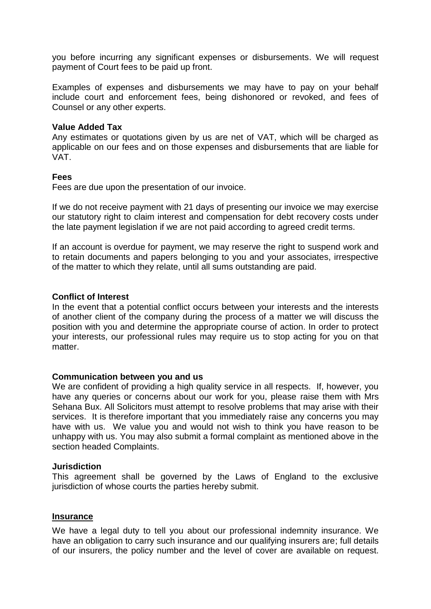you before incurring any significant expenses or disbursements. We will request payment of Court fees to be paid up front.

Examples of expenses and disbursements we may have to pay on your behalf include court and enforcement fees, being dishonored or revoked, and fees of Counsel or any other experts.

## **Value Added Tax**

Any estimates or quotations given by us are net of VAT, which will be charged as applicable on our fees and on those expenses and disbursements that are liable for VAT.

## **Fees**

Fees are due upon the presentation of our invoice.

If we do not receive payment with 21 days of presenting our invoice we may exercise our statutory right to claim interest and compensation for debt recovery costs under the late payment legislation if we are not paid according to agreed credit terms.

If an account is overdue for payment, we may reserve the right to suspend work and to retain documents and papers belonging to you and your associates, irrespective of the matter to which they relate, until all sums outstanding are paid.

## **Conflict of Interest**

In the event that a potential conflict occurs between your interests and the interests of another client of the company during the process of a matter we will discuss the position with you and determine the appropriate course of action. In order to protect your interests, our professional rules may require us to stop acting for you on that matter.

## **Communication between you and us**

We are confident of providing a high quality service in all respects. If, however, you have any queries or concerns about our work for you, please raise them with Mrs Sehana Bux. All Solicitors must attempt to resolve problems that may arise with their services. It is therefore important that you immediately raise any concerns you may have with us. We value you and would not wish to think you have reason to be unhappy with us. You may also submit a formal complaint as mentioned above in the section headed Complaints.

## **Jurisdiction**

This agreement shall be governed by the Laws of England to the exclusive jurisdiction of whose courts the parties hereby submit.

## **Insurance**

We have a legal duty to tell you about our professional indemnity insurance. We have an obligation to carry such insurance and our qualifying insurers are; full details of our insurers, the policy number and the level of cover are available on request.